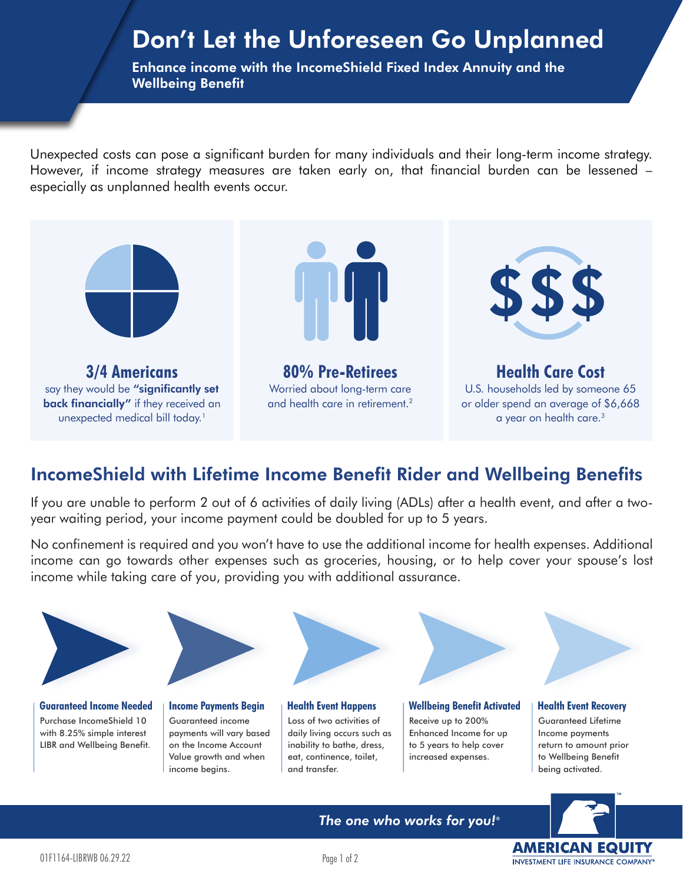## Don't Let the Unforeseen Go Unplanned

Enhance income with the IncomeShield Fixed Index Annuity and the Wellbeing Benefit

Unexpected costs can pose a significant burden for many individuals and their long-term income strategy. However, if income strategy measures are taken early on, that financial burden can be lessened – especially as unplanned health events occur.



## IncomeShield with Lifetime Income Benefit Rider and Wellbeing Benefits

If you are unable to perform 2 out of 6 activities of daily living (ADLs) after a health event, and after a twoyear waiting period, your income payment could be doubled for up to 5 years.

No confinement is required and you won't have to use the additional income for health expenses. Additional income can go towards other expenses such as groceries, housing, or to help cover your spouse's lost income while taking care of you, providing you with additional assurance.



**AMERICAN EQUITY** INVESTMENT LIFE INSURANCE COMPANY®